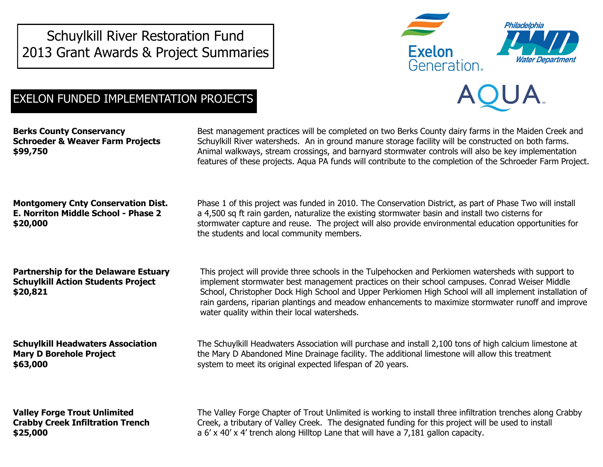Schuylkill River Restoration Fund 2013 Grant Awards & Project Summaries



## EXELON FUNDED IMPLEMENTATION PROJECTS

**Berks County Conservancy Schroeder & Weaver Farm Projects \$99,750**

Best management practices will be completed on two Berks County dairy farms in the Maiden Creek and Schuylkill River watersheds. An in ground manure storage facility will be constructed on both farms. Animal walkways, stream crossings, and barnyard stormwater controls will also be key implementation features of these projects. Aqua PA funds will contribute to the completion of the Schroeder Farm Project.

**Montgomery Cnty Conservation Dist. E. Norriton Middle School - Phase 2 \$20,000**

Phase 1 of this project was funded in 2010. The Conservation District, as part of Phase Two will install a 4,500 sq ft rain garden, naturalize the existing stormwater basin and install two cisterns for stormwater capture and reuse. The project will also provide environmental education opportunities for the students and local community members.

This project will provide three schools in the Tulpehocken and Perkiomen watersheds with support to implement stormwater best management practices on their school campuses. Conrad Weiser Middle School, Christopher Dock High School and Upper Perkiomen High School will all implement installation of rain gardens, riparian plantings and meadow enhancements to maximize stormwater runoff and improve

**Partnership for the Delaware Estuary Schuylkill Action Students Project \$20,821**

**Schuylkill Headwaters Association Mary D Borehole Project \$63,000**

The Schuylkill Headwaters Association will purchase and install 2,100 tons of high calcium limestone at the Mary D Abandoned Mine Drainage facility. The additional limestone will allow this treatment system to meet its original expected lifespan of 20 years.

water quality within their local watersheds.

**Valley Forge Trout Unlimited Crabby Creek Infiltration Trench \$25,000**

The Valley Forge Chapter of Trout Unlimited is working to install three infiltration trenches along Crabby Creek, a tributary of Valley Creek. The designated funding for this project will be used to install a 6' x 40' x 4' trench along Hilltop Lane that will have a 7,181 gallon capacity.